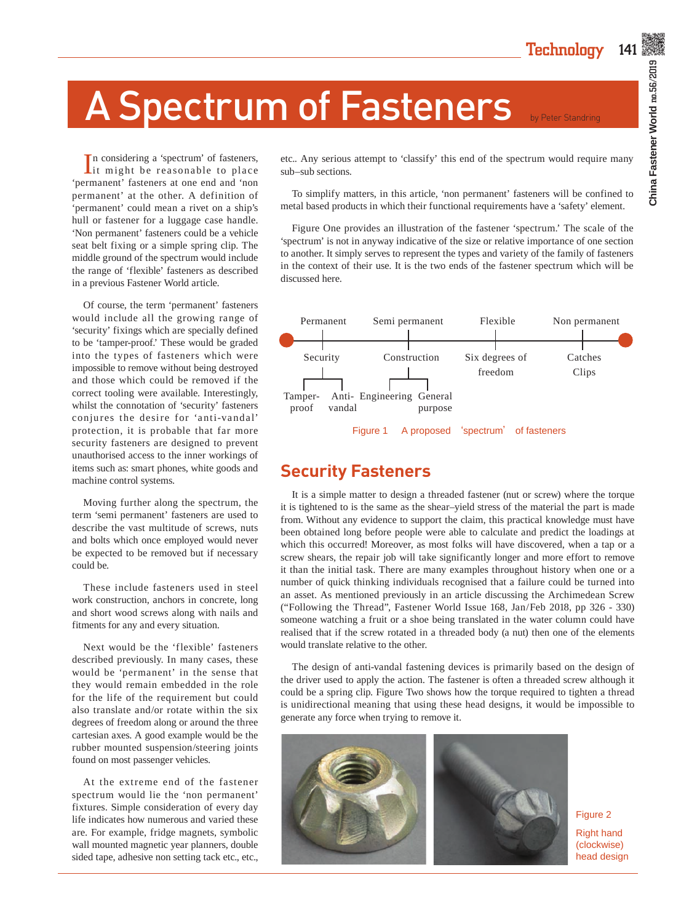# A Spectrum of Fasteners by Peter Standring

In considering a 'spectrum' of fasteners,<br>it might be reasonable to place n considering a 'spectrum' of fasteners, 'permanent' fasteners at one end and 'non permanent' at the other. A definition of 'permanent' could mean a rivet on a ship's hull or fastener for a luggage case handle. 'Non permanent' fasteners could be a vehicle seat belt fixing or a simple spring clip. The middle ground of the spectrum would include the range of 'flexible' fasteners as described in a previous Fastener World article.

Of course, the term 'permanent' fasteners would include all the growing range of 'security' fixings which are specially defined to be 'tamper-proof.' These would be graded into the types of fasteners which were impossible to remove without being destroyed and those which could be removed if the correct tooling were available. Interestingly, whilst the connotation of 'security' fasteners conjures the desire for 'anti-vandal' protection, it is probable that far more security fasteners are designed to prevent unauthorised access to the inner workings of items such as: smart phones, white goods and machine control systems.

Moving further along the spectrum, the term 'semi permanent' fasteners are used to describe the vast multitude of screws, nuts and bolts which once employed would never be expected to be removed but if necessary could be.

These include fasteners used in steel work construction, anchors in concrete, long and short wood screws along with nails and fitments for any and every situation.

Next would be the 'flexible' fasteners described previously. In many cases, these would be 'permanent' in the sense that they would remain embedded in the role for the life of the requirement but could also translate and/or rotate within the six degrees of freedom along or around the three cartesian axes. A good example would be the rubber mounted suspension/steering joints found on most passenger vehicles.

At the extreme end of the fastener spectrum would lie the 'non permanent' fixtures. Simple consideration of every day life indicates how numerous and varied these are. For example, fridge magnets, symbolic wall mounted magnetic year planners, double sided tape, adhesive non setting tack etc., etc.,

etc.. Any serious attempt to 'classify' this end of the spectrum would require many sub–sub sections.

To simplify matters, in this article, 'non permanent' fasteners will be confined to metal based products in which their functional requirements have a 'safety' element.

Figure One provides an illustration of the fastener 'spectrum.' The scale of the 'spectrum' is not in anyway indicative of the size or relative importance of one section to another. It simply serves to represent the types and variety of the family of fasteners in the context of their use. It is the two ends of the fastener spectrum which will be discussed here.



#### **Security Fasteners**

It is a simple matter to design a threaded fastener (nut or screw) where the torque it is tightened to is the same as the shear–yield stress of the material the part is made from. Without any evidence to support the claim, this practical knowledge must have been obtained long before people were able to calculate and predict the loadings at which this occurred! Moreover, as most folks will have discovered, when a tap or a screw shears, the repair job will take significantly longer and more effort to remove it than the initial task. There are many examples throughout history when one or a number of quick thinking individuals recognised that a failure could be turned into an asset. As mentioned previously in an article discussing the Archimedean Screw ("Following the Thread", Fastener World Issue 168, Jan/Feb 2018, pp 326 - 330) someone watching a fruit or a shoe being translated in the water column could have realised that if the screw rotated in a threaded body (a nut) then one of the elements would translate relative to the other.

The design of anti-vandal fastening devices is primarily based on the design of the driver used to apply the action. The fastener is often a threaded screw although it could be a spring clip. Figure Two shows how the torque required to tighten a thread is unidirectional meaning that using these head designs, it would be impossible to generate any force when trying to remove it.



Figure 2 Right hand (clockwise) head design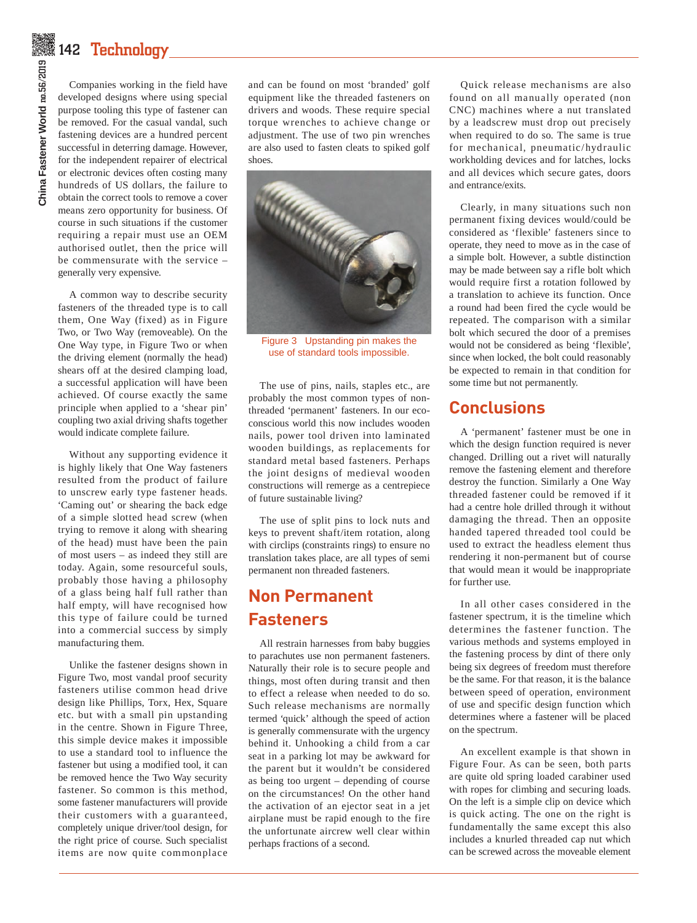## $\tilde{\mathbb{Z}}$ 142  $\operatorname{\mathsf{Technology}}_{-}$

Companies working in the field have developed designs where using special purpose tooling this type of fastener can be removed. For the casual vandal, such fastening devices are a hundred percent successful in deterring damage. However, for the independent repairer of electrical or electronic devices often costing many hundreds of US dollars, the failure to obtain the correct tools to remove a cover means zero opportunity for business. Of course in such situations if the customer requiring a repair must use an OEM authorised outlet, then the price will be commensurate with the service – generally very expensive.

A common way to describe security fasteners of the threaded type is to call them, One Way (fixed) as in Figure Two, or Two Way (removeable). On the One Way type, in Figure Two or when the driving element (normally the head) shears off at the desired clamping load, a successful application will have been achieved. Of course exactly the same principle when applied to a 'shear pin' coupling two axial driving shafts together would indicate complete failure.

Without any supporting evidence it is highly likely that One Way fasteners resulted from the product of failure to unscrew early type fastener heads. 'Caming out' or shearing the back edge of a simple slotted head screw (when trying to remove it along with shearing of the head) must have been the pain of most users – as indeed they still are today. Again, some resourceful souls, probably those having a philosophy of a glass being half full rather than half empty, will have recognised how this type of failure could be turned into a commercial success by simply manufacturing them.

Unlike the fastener designs shown in Figure Two, most vandal proof security fasteners utilise common head drive design like Phillips, Torx, Hex, Square etc. but with a small pin upstanding in the centre. Shown in Figure Three, this simple device makes it impossible to use a standard tool to influence the fastener but using a modified tool, it can be removed hence the Two Way security fastener. So common is this method, some fastener manufacturers will provide their customers with a guaranteed, completely unique driver/tool design, for the right price of course. Such specialist items are now quite commonplace

and can be found on most 'branded' golf equipment like the threaded fasteners on drivers and woods. These require special torque wrenches to achieve change or adjustment. The use of two pin wrenches are also used to fasten cleats to spiked golf shoes.



Figure 3 Upstanding pin makes the use of standard tools impossible.

The use of pins, nails, staples etc., are probably the most common types of nonthreaded 'permanent' fasteners. In our ecoconscious world this now includes wooden nails, power tool driven into laminated wooden buildings, as replacements for standard metal based fasteners. Perhaps the joint designs of medieval wooden constructions will remerge as a centrepiece of future sustainable living?

The use of split pins to lock nuts and keys to prevent shaft/item rotation, along with circlips (constraints rings) to ensure no translation takes place, are all types of semi permanent non threaded fasteners.

#### **Non Permanent Fasteners**

All restrain harnesses from baby buggies to parachutes use non permanent fasteners. Naturally their role is to secure people and things, most often during transit and then to effect a release when needed to do so. Such release mechanisms are normally termed 'quick' although the speed of action is generally commensurate with the urgency behind it. Unhooking a child from a car seat in a parking lot may be awkward for the parent but it wouldn't be considered as being too urgent – depending of course on the circumstances! On the other hand the activation of an ejector seat in a jet airplane must be rapid enough to the fire the unfortunate aircrew well clear within perhaps fractions of a second.

Quick release mechanisms are also found on all manually operated (non CNC) machines where a nut translated by a leadscrew must drop out precisely when required to do so. The same is true for mechanical, pneumatic/hydraulic workholding devices and for latches, locks and all devices which secure gates, doors and entrance/exits.

Clearly, in many situations such non permanent fixing devices would/could be considered as 'flexible' fasteners since to operate, they need to move as in the case of a simple bolt. However, a subtle distinction may be made between say a rifle bolt which would require first a rotation followed by a translation to achieve its function. Once a round had been fired the cycle would be repeated. The comparison with a similar bolt which secured the door of a premises would not be considered as being 'flexible', since when locked, the bolt could reasonably be expected to remain in that condition for some time but not permanently.

#### **Conclusions**

A 'permanent' fastener must be one in which the design function required is never changed. Drilling out a rivet will naturally remove the fastening element and therefore destroy the function. Similarly a One Way threaded fastener could be removed if it had a centre hole drilled through it without damaging the thread. Then an opposite handed tapered threaded tool could be used to extract the headless element thus rendering it non-permanent but of course that would mean it would be inappropriate for further use.

In all other cases considered in the fastener spectrum, it is the timeline which determines the fastener function. The various methods and systems employed in the fastening process by dint of there only being six degrees of freedom must therefore be the same. For that reason, it is the balance between speed of operation, environment of use and specific design function which determines where a fastener will be placed on the spectrum.

An excellent example is that shown in Figure Four. As can be seen, both parts are quite old spring loaded carabiner used with ropes for climbing and securing loads. On the left is a simple clip on device which is quick acting. The one on the right is fundamentally the same except this also includes a knurled threaded cap nut which can be screwed across the moveable element

# China Fastener World no.56/2019 **China Fastener World** no.56/2019